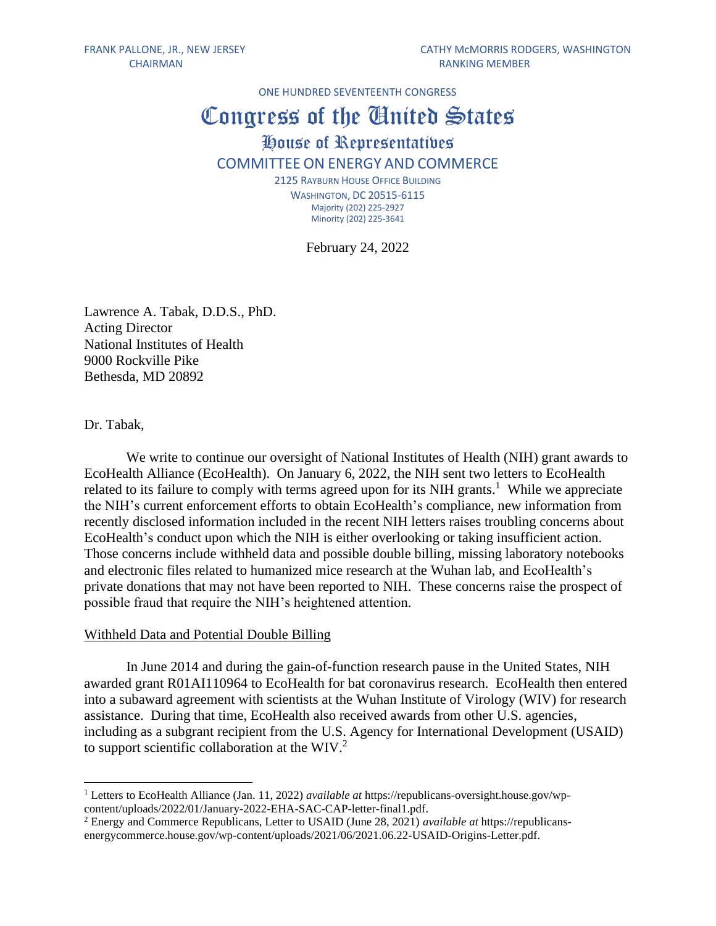ONE HUNDRED SEVENTEENTH CONGRESS

# Congress of the United States House of Representatives COMMITTEE ON ENERGY AND COMMERCE 2125 RAYBURN HOUSE OFFICE BUILDING

WASHINGTON, DC 20515-6115 Majority (202) 225-2927 Minority (202) 225-3641

February 24, 2022

Lawrence A. Tabak, D.D.S., PhD. Acting Director National Institutes of Health 9000 Rockville Pike Bethesda, MD 20892

Dr. Tabak,

We write to continue our oversight of National Institutes of Health (NIH) grant awards to EcoHealth Alliance (EcoHealth). On January 6, 2022, the NIH sent two letters to EcoHealth related to its failure to comply with terms agreed upon for its NIH grants.<sup>1</sup> While we appreciate the NIH's current enforcement efforts to obtain EcoHealth's compliance, new information from recently disclosed information included in the recent NIH letters raises troubling concerns about EcoHealth's conduct upon which the NIH is either overlooking or taking insufficient action. Those concerns include withheld data and possible double billing, missing laboratory notebooks and electronic files related to humanized mice research at the Wuhan lab, and EcoHealth's private donations that may not have been reported to NIH. These concerns raise the prospect of possible fraud that require the NIH's heightened attention.

#### Withheld Data and Potential Double Billing

In June 2014 and during the gain-of-function research pause in the United States, NIH awarded grant R01AI110964 to EcoHealth for bat coronavirus research. EcoHealth then entered into a subaward agreement with scientists at the Wuhan Institute of Virology (WIV) for research assistance. During that time, EcoHealth also received awards from other U.S. agencies, including as a subgrant recipient from the U.S. Agency for International Development (USAID) to support scientific collaboration at the WIV.<sup>2</sup>

<sup>1</sup> Letters to EcoHealth Alliance (Jan. 11, 2022) *available at* https://republicans-oversight.house.gov/wpcontent/uploads/2022/01/January-2022-EHA-SAC-CAP-letter-final1.pdf.

<sup>2</sup> Energy and Commerce Republicans, Letter to USAID (June 28, 2021) *available at* https://republicansenergycommerce.house.gov/wp-content/uploads/2021/06/2021.06.22-USAID-Origins-Letter.pdf.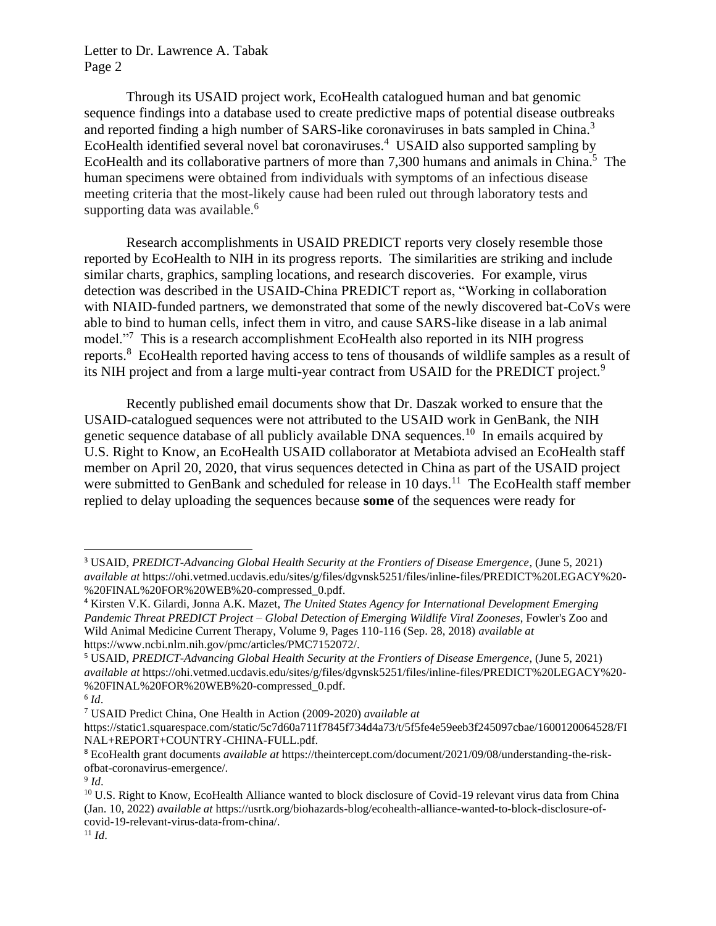Through its USAID project work, EcoHealth catalogued human and bat genomic sequence findings into a database used to create predictive maps of potential disease outbreaks and reported finding a high number of SARS-like coronaviruses in bats sampled in China.<sup>3</sup> EcoHealth identified several novel bat coronaviruses. 4 USAID also supported sampling by EcoHealth and its collaborative partners of more than 7,300 humans and animals in China.<sup>5</sup> The human specimens were obtained from individuals with symptoms of an infectious disease meeting criteria that the most-likely cause had been ruled out through laboratory tests and supporting data was available.<sup>6</sup>

Research accomplishments in USAID PREDICT reports very closely resemble those reported by EcoHealth to NIH in its progress reports. The similarities are striking and include similar charts, graphics, sampling locations, and research discoveries. For example, virus detection was described in the USAID-China PREDICT report as, "Working in collaboration with NIAID-funded partners, we demonstrated that some of the newly discovered bat-CoVs were able to bind to human cells, infect them in vitro, and cause SARS-like disease in a lab animal model.<sup>"7</sup> This is a research accomplishment EcoHealth also reported in its NIH progress reports.<sup>8</sup> EcoHealth reported having access to tens of thousands of wildlife samples as a result of its NIH project and from a large multi-year contract from USAID for the PREDICT project.<sup>9</sup>

Recently published email documents show that Dr. Daszak worked to ensure that the USAID-catalogued sequences were not attributed to the USAID work in GenBank, the NIH genetic sequence database of all publicly available DNA sequences.<sup>10</sup> In emails acquired by U.S. Right to Know, an EcoHealth USAID collaborator at Metabiota advised an EcoHealth staff member on April 20, 2020, that virus sequences detected in China as part of the USAID project were submitted to GenBank and scheduled for release in  $10 \text{ days}$ .<sup>11</sup> The EcoHealth staff member replied to delay uploading the sequences because **some** of the sequences were ready for

<sup>3</sup> USAID, *PREDICT-Advancing Global Health Security at the Frontiers of Disease Emergence*, (June 5, 2021) *available at* https://ohi.vetmed.ucdavis.edu/sites/g/files/dgvnsk5251/files/inline-files/PREDICT%20LEGACY%20- %20FINAL%20FOR%20WEB%20-compressed\_0.pdf.

<sup>4</sup> Kirsten V.K. Gilardi, Jonna A.K. Mazet, *The United States Agency for International Development Emerging Pandemic Threat PREDICT Project – Global Detection of Emerging Wildlife Viral Zooneses*, Fowler's Zoo and Wild Animal Medicine Current Therapy, Volume 9, Pages 110-116 (Sep. 28, 2018) *available at* https://www.ncbi.nlm.nih.gov/pmc/articles/PMC7152072/.

<sup>5</sup> USAID, *PREDICT-Advancing Global Health Security at the Frontiers of Disease Emergence*, (June 5, 2021) *available at* https://ohi.vetmed.ucdavis.edu/sites/g/files/dgvnsk5251/files/inline-files/PREDICT%20LEGACY%20- %20FINAL%20FOR%20WEB%20-compressed\_0.pdf.

<sup>6</sup> *Id*.

<sup>7</sup> USAID Predict China, One Health in Action (2009-2020) *available at*

https://static1.squarespace.com/static/5c7d60a711f7845f734d4a73/t/5f5fe4e59eeb3f245097cbae/1600120064528/FI NAL+REPORT+COUNTRY-CHINA-FULL.pdf.

<sup>8</sup> EcoHealth grant documents *available at* https://theintercept.com/document/2021/09/08/understanding-the-riskofbat-coronavirus-emergence/.

<sup>9</sup> *Id*.

<sup>&</sup>lt;sup>10</sup> U.S. Right to Know, EcoHealth Alliance wanted to block disclosure of Covid-19 relevant virus data from China (Jan. 10, 2022) *available at* https://usrtk.org/biohazards-blog/ecohealth-alliance-wanted-to-block-disclosure-ofcovid-19-relevant-virus-data-from-china/.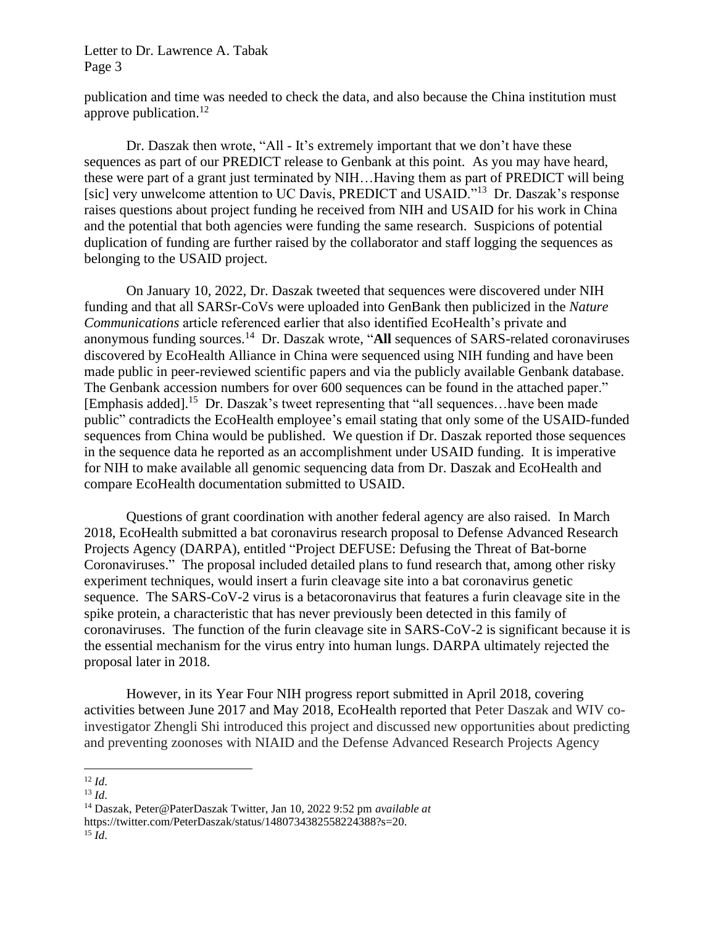publication and time was needed to check the data, and also because the China institution must approve publication. $^{12}$ 

Dr. Daszak then wrote, "All - It's extremely important that we don't have these sequences as part of our PREDICT release to Genbank at this point. As you may have heard, these were part of a grant just terminated by NIH…Having them as part of PREDICT will being [sic] very unwelcome attention to UC Davis, PREDICT and USAID."<sup>13</sup> Dr. Daszak's response raises questions about project funding he received from NIH and USAID for his work in China and the potential that both agencies were funding the same research. Suspicions of potential duplication of funding are further raised by the collaborator and staff logging the sequences as belonging to the USAID project.

On January 10, 2022, Dr. Daszak tweeted that sequences were discovered under NIH funding and that all SARSr-CoVs were uploaded into GenBank then publicized in the *Nature Communications* article referenced earlier that also identified EcoHealth's private and anonymous funding sources.<sup>14</sup> Dr. Daszak wrote, "All sequences of SARS-related coronaviruses discovered by EcoHealth Alliance in China were sequenced using NIH funding and have been made public in peer-reviewed scientific papers and via the publicly available Genbank database. The Genbank accession numbers for over 600 sequences can be found in the attached paper." [Emphasis added].<sup>15</sup> Dr. Daszak's tweet representing that "all sequences…have been made public" contradicts the EcoHealth employee's email stating that only some of the USAID-funded sequences from China would be published. We question if Dr. Daszak reported those sequences in the sequence data he reported as an accomplishment under USAID funding. It is imperative for NIH to make available all genomic sequencing data from Dr. Daszak and EcoHealth and compare EcoHealth documentation submitted to USAID.

Questions of grant coordination with another federal agency are also raised. In March 2018, EcoHealth submitted a bat coronavirus research proposal to Defense Advanced Research Projects Agency (DARPA), entitled "Project DEFUSE: Defusing the Threat of Bat-borne Coronaviruses." The proposal included detailed plans to fund research that, among other risky experiment techniques, would insert a furin cleavage site into a bat coronavirus genetic sequence. The SARS-CoV-2 virus is a betacoronavirus that features a furin cleavage site in the spike protein, a characteristic that has never previously been detected in this family of coronaviruses. The function of the furin cleavage site in SARS-CoV-2 is significant because it is the essential mechanism for the virus entry into human lungs. DARPA ultimately rejected the proposal later in 2018.

However, in its Year Four NIH progress report submitted in April 2018, covering activities between June 2017 and May 2018, EcoHealth reported that Peter Daszak and WIV coinvestigator Zhengli Shi introduced this project and discussed new opportunities about predicting and preventing zoonoses with NIAID and the Defense Advanced Research Projects Agency

<sup>12</sup> *Id*.

<sup>13</sup> *Id*.

<sup>14</sup> Daszak, Peter@PaterDaszak Twitter, Jan 10, 2022 9:52 pm *available at* https://twitter.com/PeterDaszak/status/1480734382558224388?s=20. <sup>15</sup> *Id*.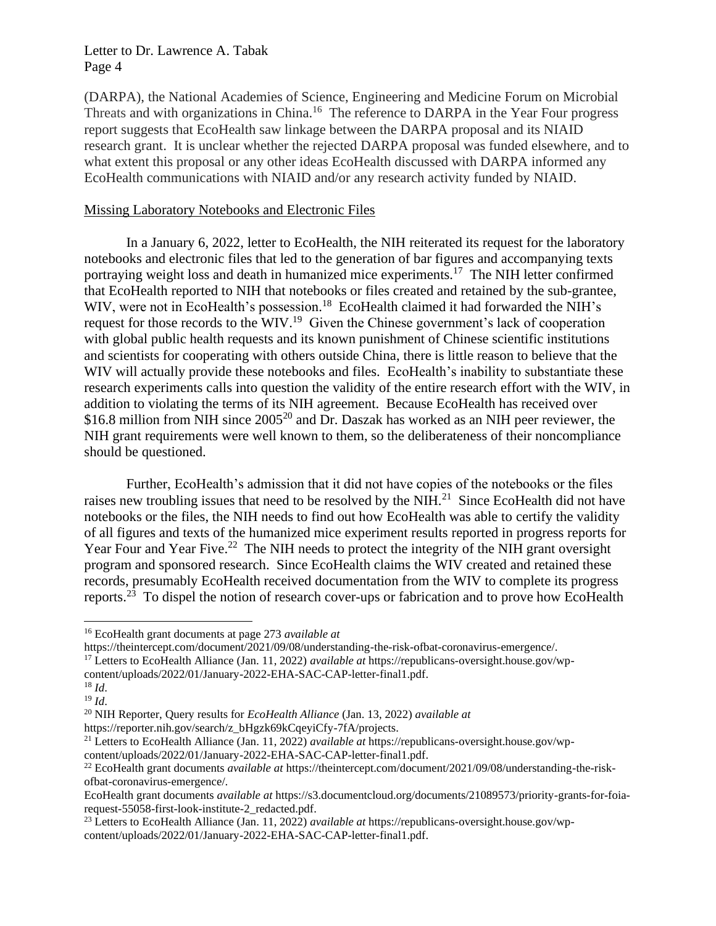(DARPA), the National Academies of Science, Engineering and Medicine Forum on Microbial Threats and with organizations in China.<sup>16</sup> The reference to DARPA in the Year Four progress report suggests that EcoHealth saw linkage between the DARPA proposal and its NIAID research grant. It is unclear whether the rejected DARPA proposal was funded elsewhere, and to what extent this proposal or any other ideas EcoHealth discussed with DARPA informed any EcoHealth communications with NIAID and/or any research activity funded by NIAID.

# Missing Laboratory Notebooks and Electronic Files

In a January 6, 2022, letter to EcoHealth, the NIH reiterated its request for the laboratory notebooks and electronic files that led to the generation of bar figures and accompanying texts portraying weight loss and death in humanized mice experiments.<sup>17</sup> The NIH letter confirmed that EcoHealth reported to NIH that notebooks or files created and retained by the sub-grantee, WIV, were not in EcoHealth's possession.<sup>18</sup> EcoHealth claimed it had forwarded the NIH's request for those records to the WIV.<sup>19</sup> Given the Chinese government's lack of cooperation with global public health requests and its known punishment of Chinese scientific institutions and scientists for cooperating with others outside China, there is little reason to believe that the WIV will actually provide these notebooks and files. EcoHealth's inability to substantiate these research experiments calls into question the validity of the entire research effort with the WIV, in addition to violating the terms of its NIH agreement. Because EcoHealth has received over \$16.8 million from NIH since 2005<sup>20</sup> and Dr. Daszak has worked as an NIH peer reviewer, the NIH grant requirements were well known to them, so the deliberateness of their noncompliance should be questioned.

Further, EcoHealth's admission that it did not have copies of the notebooks or the files raises new troubling issues that need to be resolved by the  $NH<sup>21</sup>$  Since EcoHealth did not have notebooks or the files, the NIH needs to find out how EcoHealth was able to certify the validity of all figures and texts of the humanized mice experiment results reported in progress reports for Year Four and Year Five.<sup>22</sup> The NIH needs to protect the integrity of the NIH grant oversight program and sponsored research. Since EcoHealth claims the WIV created and retained these records, presumably EcoHealth received documentation from the WIV to complete its progress reports.<sup>23</sup> To dispel the notion of research cover-ups or fabrication and to prove how EcoHealth

content/uploads/2022/01/January-2022-EHA-SAC-CAP-letter-final1.pdf.

https://reporter.nih.gov/search/z\_bHgzk69kCqeyiCfy-7fA/projects.

<sup>16</sup> EcoHealth grant documents at page 273 *available at*

https://theintercept.com/document/2021/09/08/understanding-the-risk-ofbat-coronavirus-emergence/.

<sup>17</sup> Letters to EcoHealth Alliance (Jan. 11, 2022) *available at* https://republicans-oversight.house.gov/wp-

<sup>18</sup> *Id*.

<sup>19</sup> *Id*.

<sup>20</sup> NIH Reporter, Query results for *EcoHealth Alliance* (Jan. 13, 2022) *available at*

<sup>21</sup> Letters to EcoHealth Alliance (Jan. 11, 2022) *available at* https://republicans-oversight.house.gov/wpcontent/uploads/2022/01/January-2022-EHA-SAC-CAP-letter-final1.pdf.

<sup>22</sup> EcoHealth grant documents *available at* https://theintercept.com/document/2021/09/08/understanding-the-riskofbat-coronavirus-emergence/.

EcoHealth grant documents *available at* https://s3.documentcloud.org/documents/21089573/priority-grants-for-foiarequest-55058-first-look-institute-2\_redacted.pdf.

<sup>23</sup> Letters to EcoHealth Alliance (Jan. 11, 2022) *available at* https://republicans-oversight.house.gov/wpcontent/uploads/2022/01/January-2022-EHA-SAC-CAP-letter-final1.pdf.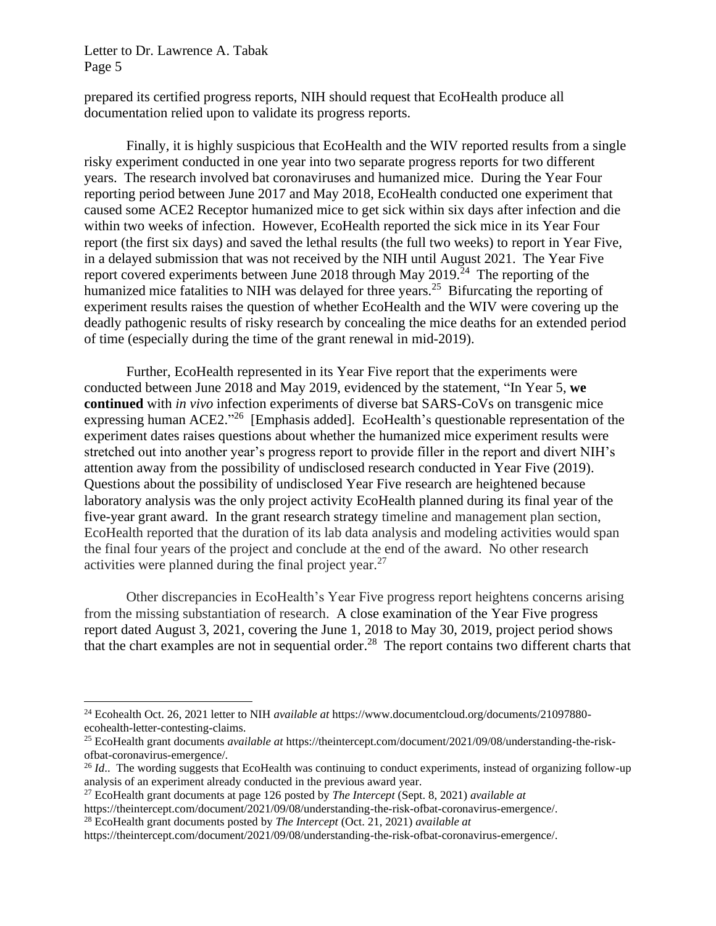prepared its certified progress reports, NIH should request that EcoHealth produce all documentation relied upon to validate its progress reports.

Finally, it is highly suspicious that EcoHealth and the WIV reported results from a single risky experiment conducted in one year into two separate progress reports for two different years. The research involved bat coronaviruses and humanized mice. During the Year Four reporting period between June 2017 and May 2018, EcoHealth conducted one experiment that caused some ACE2 Receptor humanized mice to get sick within six days after infection and die within two weeks of infection. However, EcoHealth reported the sick mice in its Year Four report (the first six days) and saved the lethal results (the full two weeks) to report in Year Five, in a delayed submission that was not received by the NIH until August 2021. The Year Five report covered experiments between June 2018 through May  $2019$ <sup>24</sup> The reporting of the humanized mice fatalities to NIH was delayed for three years.<sup>25</sup> Bifurcating the reporting of experiment results raises the question of whether EcoHealth and the WIV were covering up the deadly pathogenic results of risky research by concealing the mice deaths for an extended period of time (especially during the time of the grant renewal in mid-2019).

Further, EcoHealth represented in its Year Five report that the experiments were conducted between June 2018 and May 2019, evidenced by the statement, "In Year 5, **we continued** with *in vivo* infection experiments of diverse bat SARS-CoVs on transgenic mice expressing human ACE2."<sup>26</sup> [Emphasis added]. EcoHealth's questionable representation of the experiment dates raises questions about whether the humanized mice experiment results were stretched out into another year's progress report to provide filler in the report and divert NIH's attention away from the possibility of undisclosed research conducted in Year Five (2019). Questions about the possibility of undisclosed Year Five research are heightened because laboratory analysis was the only project activity EcoHealth planned during its final year of the five-year grant award. In the grant research strategy timeline and management plan section, EcoHealth reported that the duration of its lab data analysis and modeling activities would span the final four years of the project and conclude at the end of the award. No other research activities were planned during the final project year. $27$ 

Other discrepancies in EcoHealth's Year Five progress report heightens concerns arising from the missing substantiation of research. A close examination of the Year Five progress report dated August 3, 2021, covering the June 1, 2018 to May 30, 2019, project period shows that the chart examples are not in sequential order.<sup>28</sup> The report contains two different charts that

<sup>27</sup> EcoHealth grant documents at page 126 posted by *The Intercept* (Sept. 8, 2021) *available at*

<sup>28</sup> EcoHealth grant documents posted by *The Intercept* (Oct. 21, 2021) *available at*

<sup>24</sup> Ecohealth Oct. 26, 2021 letter to NIH *available at* https://www.documentcloud.org/documents/21097880 ecohealth-letter-contesting-claims.

<sup>25</sup> EcoHealth grant documents *available at* https://theintercept.com/document/2021/09/08/understanding-the-riskofbat-coronavirus-emergence/.

<sup>&</sup>lt;sup>26</sup> *Id.*. The wording suggests that EcoHealth was continuing to conduct experiments, instead of organizing follow-up analysis of an experiment already conducted in the previous award year.

https://theintercept.com/document/2021/09/08/understanding-the-risk-ofbat-coronavirus-emergence/.

https://theintercept.com/document/2021/09/08/understanding-the-risk-ofbat-coronavirus-emergence/.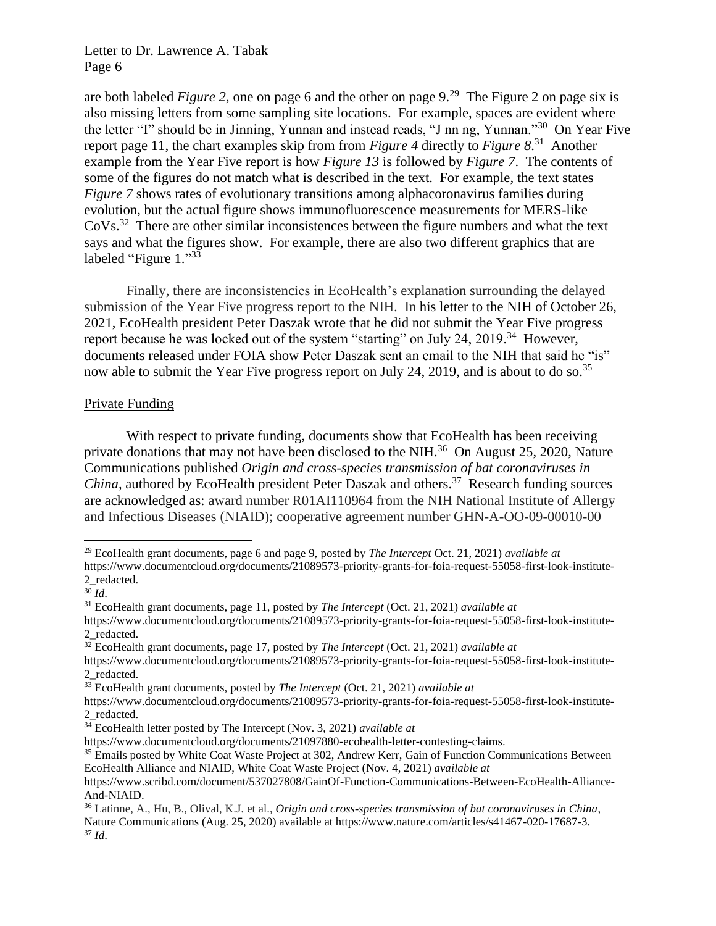are both labeled *Figure 2*, one on page 6 and the other on page 9. 29 The Figure 2 on page six is also missing letters from some sampling site locations. For example, spaces are evident where the letter "I" should be in Jinning, Yunnan and instead reads, "J nn ng, Yunnan."<sup>30</sup> On Year Five report page 11, the chart examples skip from from *Figure 4* directly to *Figure 8*. 31 Another example from the Year Five report is how *Figure 13* is followed by *Figure 7*. The contents of some of the figures do not match what is described in the text. For example, the text states *Figure 7* shows rates of evolutionary transitions among alphacoronavirus families during evolution, but the actual figure shows immunofluorescence measurements for MERS-like  $\text{CoVs.}^{32}$  There are other similar inconsistences between the figure numbers and what the text says and what the figures show. For example, there are also two different graphics that are labeled "Figure 1."33

Finally, there are inconsistencies in EcoHealth's explanation surrounding the delayed submission of the Year Five progress report to the NIH. In his letter to the NIH of October 26, 2021, EcoHealth president Peter Daszak wrote that he did not submit the Year Five progress report because he was locked out of the system "starting" on July 24, 2019.<sup>34</sup> However, documents released under FOIA show Peter Daszak sent an email to the NIH that said he "is" now able to submit the Year Five progress report on July 24, 2019, and is about to do so.<sup>35</sup>

#### Private Funding

With respect to private funding, documents show that EcoHealth has been receiving private donations that may not have been disclosed to the NIH.<sup>36</sup> On August 25, 2020, Nature Communications published *Origin and cross-species transmission of bat coronaviruses in*  China, authored by EcoHealth president Peter Daszak and others.<sup>37</sup> Research funding sources are acknowledged as: award number R01AI110964 from the NIH National Institute of Allergy and Infectious Diseases (NIAID); cooperative agreement number GHN-A-OO-09-00010-00

<sup>29</sup> EcoHealth grant documents, page 6 and page 9, posted by *The Intercept* Oct. 21, 2021) *available at* https://www.documentcloud.org/documents/21089573-priority-grants-for-foia-request-55058-first-look-institute-2\_redacted.

<sup>30</sup> *Id*.

<sup>31</sup> EcoHealth grant documents, page 11, posted by *The Intercept* (Oct. 21, 2021) *available at*

https://www.documentcloud.org/documents/21089573-priority-grants-for-foia-request-55058-first-look-institute-2\_redacted.

<sup>32</sup> EcoHealth grant documents, page 17, posted by *The Intercept* (Oct. 21, 2021) *available at*

https://www.documentcloud.org/documents/21089573-priority-grants-for-foia-request-55058-first-look-institute-2\_redacted.

<sup>33</sup> EcoHealth grant documents, posted by *The Intercept* (Oct. 21, 2021) *available at*

https://www.documentcloud.org/documents/21089573-priority-grants-for-foia-request-55058-first-look-institute-2\_redacted.

<sup>34</sup> EcoHealth letter posted by The Intercept (Nov. 3, 2021) *available at*

https://www.documentcloud.org/documents/21097880-ecohealth-letter-contesting-claims.

<sup>&</sup>lt;sup>35</sup> Emails posted by White Coat Waste Project at 302, Andrew Kerr, Gain of Function Communications Between EcoHealth Alliance and NIAID, White Coat Waste Project (Nov. 4, 2021) *available at*

https://www.scribd.com/document/537027808/GainOf-Function-Communications-Between-EcoHealth-Alliance-And-NIAID.

<sup>36</sup> Latinne, A., Hu, B., Olival, K.J. et al., *Origin and cross-species transmission of bat coronaviruses in China*, Nature Communications (Aug. 25, 2020) available at https://www.nature.com/articles/s41467-020-17687-3. <sup>37</sup> *Id*.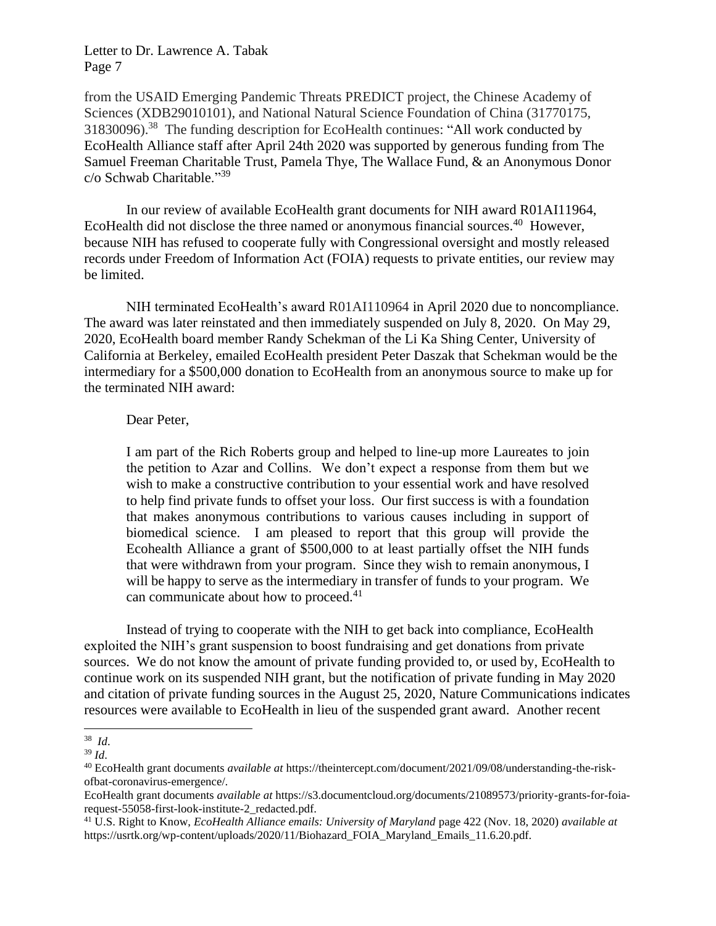from the USAID Emerging Pandemic Threats PREDICT project, the Chinese Academy of Sciences (XDB29010101), and National Natural Science Foundation of China (31770175, 31830096).<sup>38</sup> The funding description for EcoHealth continues: "All work conducted by EcoHealth Alliance staff after April 24th 2020 was supported by generous funding from The Samuel Freeman Charitable Trust, Pamela Thye, The Wallace Fund, & an Anonymous Donor c/o Schwab Charitable."<sup>39</sup>

In our review of available EcoHealth grant documents for NIH award R01AI11964, EcoHealth did not disclose the three named or anonymous financial sources.<sup>40</sup> However, because NIH has refused to cooperate fully with Congressional oversight and mostly released records under Freedom of Information Act (FOIA) requests to private entities, our review may be limited.

NIH terminated EcoHealth's award R01AI110964 in April 2020 due to noncompliance. The award was later reinstated and then immediately suspended on July 8, 2020. On May 29, 2020, EcoHealth board member Randy Schekman of the Li Ka Shing Center, University of California at Berkeley, emailed EcoHealth president Peter Daszak that Schekman would be the intermediary for a \$500,000 donation to EcoHealth from an anonymous source to make up for the terminated NIH award:

#### Dear Peter,

I am part of the Rich Roberts group and helped to line-up more Laureates to join the petition to Azar and Collins. We don't expect a response from them but we wish to make a constructive contribution to your essential work and have resolved to help find private funds to offset your loss. Our first success is with a foundation that makes anonymous contributions to various causes including in support of biomedical science. I am pleased to report that this group will provide the Ecohealth Alliance a grant of \$500,000 to at least partially offset the NIH funds that were withdrawn from your program. Since they wish to remain anonymous, I will be happy to serve as the intermediary in transfer of funds to your program. We can communicate about how to proceed.<sup>41</sup>

Instead of trying to cooperate with the NIH to get back into compliance, EcoHealth exploited the NIH's grant suspension to boost fundraising and get donations from private sources. We do not know the amount of private funding provided to, or used by, EcoHealth to continue work on its suspended NIH grant, but the notification of private funding in May 2020 and citation of private funding sources in the August 25, 2020, Nature Communications indicates resources were available to EcoHealth in lieu of the suspended grant award. Another recent

<sup>38</sup> *Id*.

<sup>39</sup> *Id*.

<sup>40</sup> EcoHealth grant documents *available at* https://theintercept.com/document/2021/09/08/understanding-the-riskofbat-coronavirus-emergence/.

EcoHealth grant documents *available at* https://s3.documentcloud.org/documents/21089573/priority-grants-for-foiarequest-55058-first-look-institute-2\_redacted.pdf.

<sup>41</sup> U.S. Right to Know, *EcoHealth Alliance emails: University of Maryland* page 422 (Nov. 18, 2020) *available at* https://usrtk.org/wp-content/uploads/2020/11/Biohazard\_FOIA\_Maryland\_Emails\_11.6.20.pdf.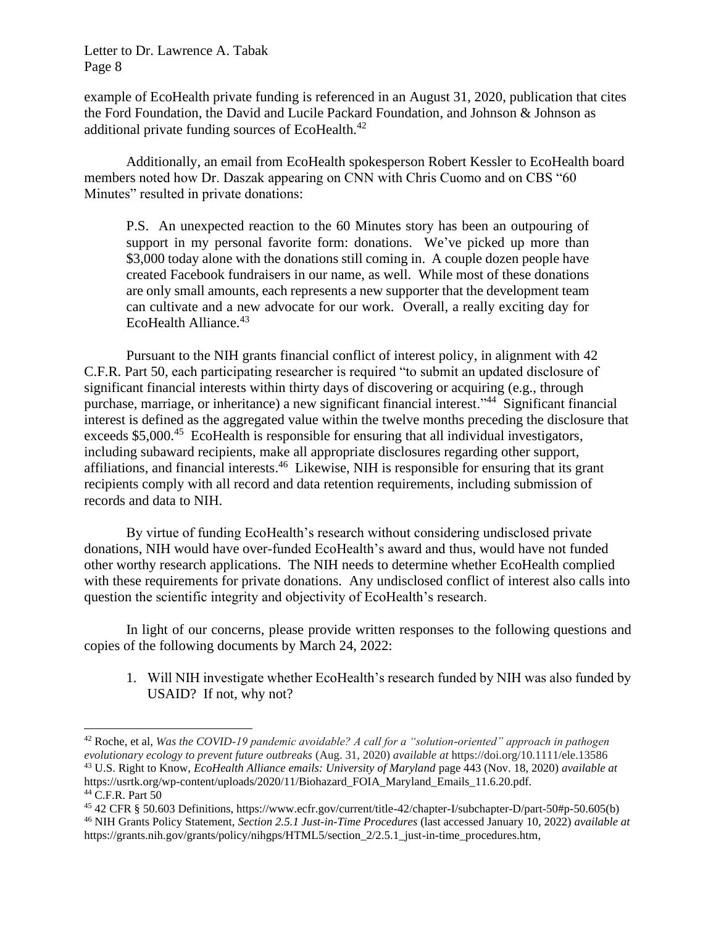example of EcoHealth private funding is referenced in an August 31, 2020, publication that cites the Ford Foundation, the David and Lucile Packard Foundation, and Johnson & Johnson as additional private funding sources of EcoHealth.<sup>42</sup>

Additionally, an email from EcoHealth spokesperson Robert Kessler to EcoHealth board members noted how Dr. Daszak appearing on CNN with Chris Cuomo and on CBS "60 Minutes" resulted in private donations:

P.S. An unexpected reaction to the 60 Minutes story has been an outpouring of support in my personal favorite form: donations. We've picked up more than \$3,000 today alone with the donations still coming in. A couple dozen people have created Facebook fundraisers in our name, as well. While most of these donations are only small amounts, each represents a new supporter that the development team can cultivate and a new advocate for our work. Overall, a really exciting day for EcoHealth Alliance.<sup>43</sup>

Pursuant to the NIH grants financial conflict of interest policy, in alignment with 42 C.F.R. Part 50, each participating researcher is required "to submit an updated disclosure of significant financial interests within thirty days of discovering or acquiring (e.g., through purchase, marriage, or inheritance) a new significant financial interest."<sup>44</sup> Significant financial interest is defined as the aggregated value within the twelve months preceding the disclosure that exceeds \$5,000.<sup>45</sup> EcoHealth is responsible for ensuring that all individual investigators, including subaward recipients, make all appropriate disclosures regarding other support, affiliations, and financial interests.<sup>46</sup> Likewise, NIH is responsible for ensuring that its grant recipients comply with all record and data retention requirements, including submission of records and data to NIH.

By virtue of funding EcoHealth's research without considering undisclosed private donations, NIH would have over-funded EcoHealth's award and thus, would have not funded other worthy research applications. The NIH needs to determine whether EcoHealth complied with these requirements for private donations. Any undisclosed conflict of interest also calls into question the scientific integrity and objectivity of EcoHealth's research.

In light of our concerns, please provide written responses to the following questions and copies of the following documents by March 24, 2022:

1. Will NIH investigate whether EcoHealth's research funded by NIH was also funded by USAID? If not, why not?

<sup>42</sup> Roche, et al, *Was the COVID-19 pandemic avoidable? A call for a "solution-oriented" approach in pathogen evolutionary ecology to prevent future outbreaks* (Aug. 31, 2020) *available at* https://doi.org/10.1111/ele.13586 <sup>43</sup> U.S. Right to Know, *EcoHealth Alliance emails: University of Maryland* page 443 (Nov. 18, 2020) *available at* https://usrtk.org/wp-content/uploads/2020/11/Biohazard\_FOIA\_Maryland\_Emails\_11.6.20.pdf.

<sup>44</sup> C.F.R. Part 50

<sup>45</sup> 42 CFR § 50.603 Definitions, https://www.ecfr.gov/current/title-42/chapter-I/subchapter-D/part-50#p-50.605(b)

<sup>46</sup> NIH Grants Policy Statement, *Section 2.5.1 Just-in-Time Procedures* (last accessed January 10, 2022) *available at* https://grants.nih.gov/grants/policy/nihgps/HTML5/section\_2/2.5.1\_just-in-time\_procedures.htm,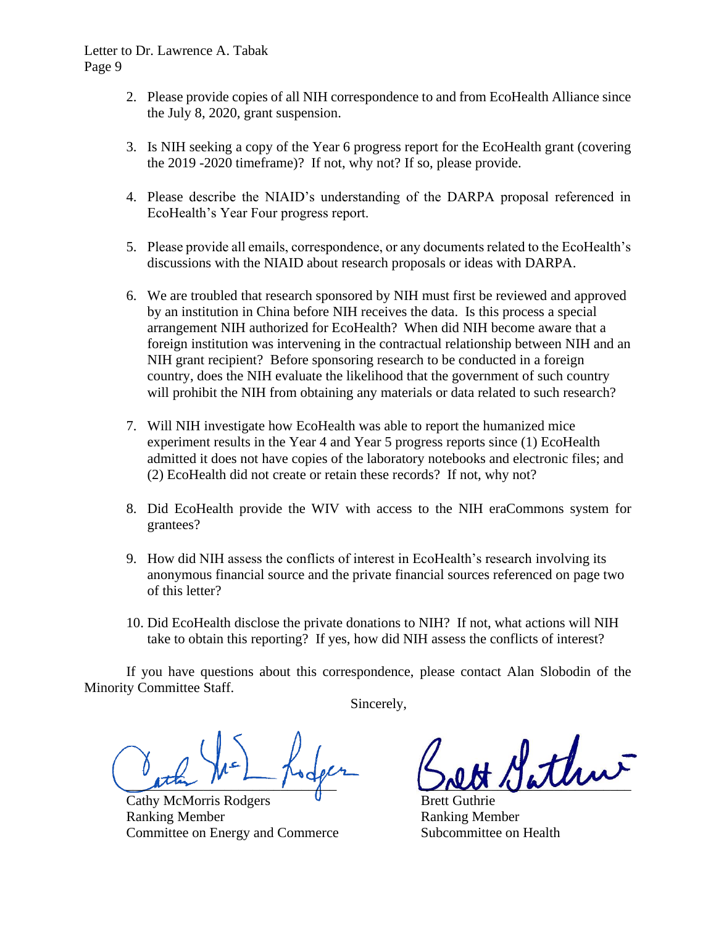- 2. Please provide copies of all NIH correspondence to and from EcoHealth Alliance since the July 8, 2020, grant suspension.
- 3. Is NIH seeking a copy of the Year 6 progress report for the EcoHealth grant (covering the 2019 -2020 timeframe)? If not, why not? If so, please provide.
- 4. Please describe the NIAID's understanding of the DARPA proposal referenced in EcoHealth's Year Four progress report.
- 5. Please provide all emails, correspondence, or any documents related to the EcoHealth's discussions with the NIAID about research proposals or ideas with DARPA.
- 6. We are troubled that research sponsored by NIH must first be reviewed and approved by an institution in China before NIH receives the data. Is this process a special arrangement NIH authorized for EcoHealth? When did NIH become aware that a foreign institution was intervening in the contractual relationship between NIH and an NIH grant recipient? Before sponsoring research to be conducted in a foreign country, does the NIH evaluate the likelihood that the government of such country will prohibit the NIH from obtaining any materials or data related to such research?
- 7. Will NIH investigate how EcoHealth was able to report the humanized mice experiment results in the Year 4 and Year 5 progress reports since (1) EcoHealth admitted it does not have copies of the laboratory notebooks and electronic files; and (2) EcoHealth did not create or retain these records? If not, why not?
- 8. Did EcoHealth provide the WIV with access to the NIH eraCommons system for grantees?
- 9. How did NIH assess the conflicts of interest in EcoHealth's research involving its anonymous financial source and the private financial sources referenced on page two of this letter?
- 10. Did EcoHealth disclose the private donations to NIH? If not, what actions will NIH take to obtain this reporting? If yes, how did NIH assess the conflicts of interest?

If you have questions about this correspondence, please contact Alan Slobodin of the Minority Committee Staff.

Sincerely,

 $\mu$ the  $\mu$   $\sim$   $\mu$   $\sim$   $\mu$   $\sim$   $\mu$ 

Cathy McMorris Rodgers **U** Brett Guthrie Ranking Member **Ranking Member** Committee on Energy and Commerce Subcommittee on Health